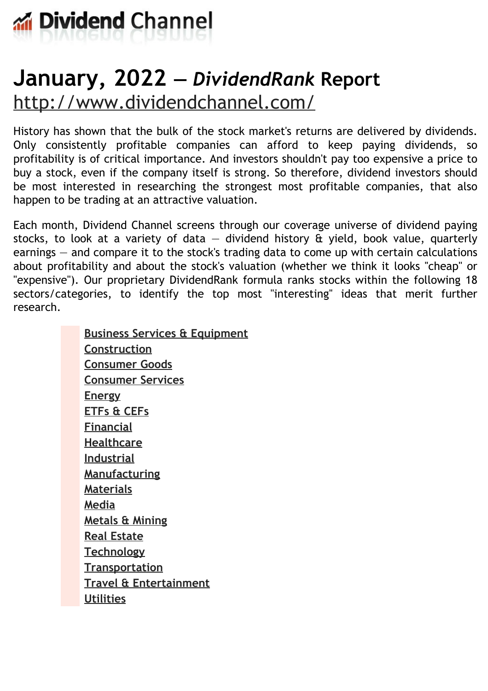

# **January, 2022 —** *DividendRank* **Report** <http://www.dividendchannel.com/>

History has shown that the bulk of the stock market's returns are delivered by dividends. Only consistently profitable companies can afford to keep paying dividends, so profitability is of critical importance. And investors shouldn't pay too expensive a price to buy a stock, even if the company itself is strong. So therefore, dividend investors should be most interested in researching the strongest most profitable companies, that also happen to be trading at an attractive valuation.

Each month, Dividend Channel screens through our coverage universe of dividend paying stocks, to look at a variety of data  $-$  dividend history  $\hat{a}$  yield, book value, quarterly earnings — and compare it to the stock's trading data to come up with certain calculations about profitability and about the stock's valuation (whether we think it looks ''cheap'' or "expensive"). Our proprietary DividendRank formula ranks stocks within the following 18 sectors/categories, to identify the top most ''interesting'' ideas that merit further research.

> **Business Services & [Equipment](file:///root/temp.html#l01) [Construction](file:///root/temp.html#l02) [Consumer](file:///root/temp.html#l03) Goods [Consumer](file:///root/temp.html#l04) Services [Energy](file:///root/temp.html#l05) [ETFs](file:///root/temp.html#l06) & CEFs [Financial](file:///root/temp.html#l07) [Healthcare](file:///root/temp.html#l08) [Industrial](file:///root/temp.html#l09) [Manufacturing](file:///root/temp.html#l10) [Materials](file:///root/temp.html#l11) [Media](file:///root/temp.html#l12) [Metals](file:///root/temp.html#l13) & Mining Real [Estate](file:///root/temp.html#l14) [Technology](file:///root/temp.html#l15) [Transportation](file:///root/temp.html#l16) Travel & [Entertainment](file:///root/temp.html#l17) [Utilities](file:///root/temp.html#l18)**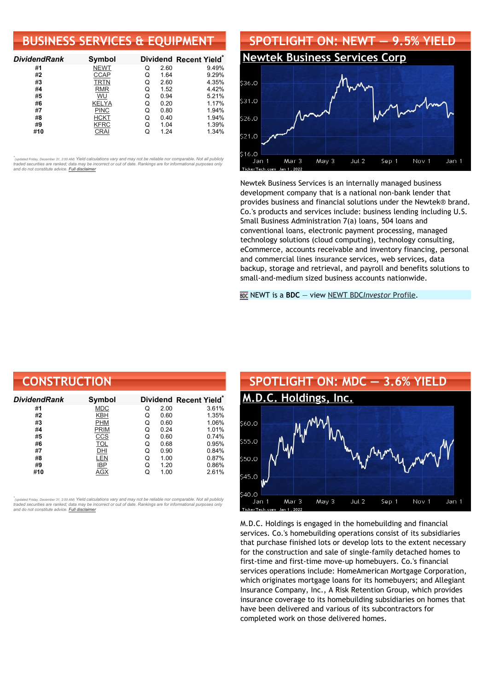## **BUSINESS SERVICES & EQUIPMENT**

| <b>DividendRank</b> | Symbol       |   |      | Dividend Recent Yield* |
|---------------------|--------------|---|------|------------------------|
| #1                  | <b>NEWT</b>  | Q | 2.60 | 9.49%                  |
| #2                  | <b>CCAP</b>  | Q | 1.64 | 9.29%                  |
| #3                  | <b>TRTN</b>  | Q | 2.60 | 4.35%                  |
| #4                  | <b>RMR</b>   | Q | 1.52 | 4.42%                  |
| #5                  | WU           | Q | 0.94 | 5.21%                  |
| #6                  | <b>KELYA</b> | Q | 0.20 | 1.17%                  |
| #7                  | <b>PINC</b>  | Q | 0.80 | 1.94%                  |
| #8                  | <b>HCKT</b>  | Q | 0.40 | 1.94%                  |
| #9                  | <b>KFRC</b>  | Q | 1.04 | 1.39%                  |
| #10                 | CRAI         |   | 1.24 | 1.34%                  |

•<br>"<sub>(updated Friday, December 31, 2:00 AM) Yield calculations vary and may not be reliable nor comparable. Not all publicly<br>traded securities are ranked; data may be incorrect or out of date. Rankings are for informationa</sub> *and do not constitute advice. Full [disclaimer](https://www.dividendchannel.com/disclaimer/)*



Newtek Business Services is an internally managed business development company that is a national non-bank lender that provides business and financial solutions under the Newtek® brand. Co.'s products and services include: business lending including U.S. Small Business Administration 7(a) loans, 504 loans and conventional loans, electronic payment processing, managed technology solutions (cloud computing), technology consulting, eCommerce, accounts receivable and inventory financing, personal and commercial lines insurance services, web services, data backup, storage and retrieval, and payroll and benefits solutions to small-and-medium sized business accounts nationwide.

NEWT is a **BDC** — view NEWT BDC*[Investor](https://www.bdcinvestor.com/newt/)* Profile.

| <b>CONSTRUCTION</b> |               |   |      |                                    |
|---------------------|---------------|---|------|------------------------------------|
| <b>DividendRank</b> | <b>Symbol</b> |   |      | Dividend Recent Yield <sup>®</sup> |
| #1                  | <b>MDC</b>    | Q | 2.00 | 3.61%                              |
| #2                  | <b>KBH</b>    | Q | 0.60 | 1.35%                              |
| #3                  | <b>PHM</b>    | Q | 0.60 | 1.06%                              |
| #4                  | <b>PRIM</b>   | Q | 0.24 | 1.01%                              |
| #5                  | <u>CCS</u>    | Q | 0.60 | 0.74%                              |
| #6                  | <b>TOL</b>    | Q | 0.68 | 0.95%                              |
| #7                  | DHI           | Q | 0.90 | 0.84%                              |
| #8                  | LEN           | Q | 1.00 | 0.87%                              |
| #9                  | <b>IBP</b>    | Q | 1.20 | 0.86%                              |
| #10                 | AGX           | Q | 1.00 | 2.61%                              |

*\** ted Friday, December 31, 2:00 AM) Yield calculations vary and may not be reliable nor comparable. Not all publicly traded securities are ranked; data may be incorrect or out of date. Rankings are for informational purposes only *and do not constitute advice. Full [disclaimer](https://www.dividendchannel.com/disclaimer/)*



M.D.C. Holdings is engaged in the homebuilding and financial services. Co.'s homebuilding operations consist of its subsidiaries that purchase finished lots or develop lots to the extent necessary for the construction and sale of single-family detached homes to first-time and first-time move-up homebuyers. Co.'s financial services operations include: HomeAmerican Mortgage Corporation, which originates mortgage loans for its homebuyers; and Allegiant Insurance Company, Inc., A Risk Retention Group, which provides insurance coverage to its homebuilding subsidiaries on homes that have been delivered and various of its subcontractors for completed work on those delivered homes.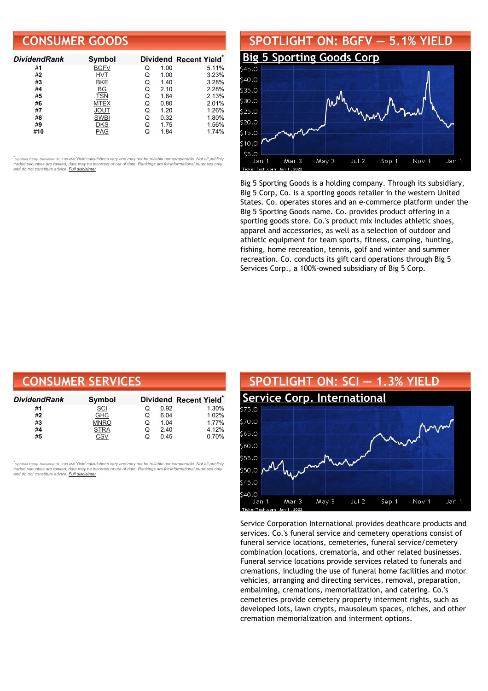### **CONSUMER GOODS**

| <b>DividendRank</b> | <b>Symbol</b> |   |      | Dividend Recent Yield* |
|---------------------|---------------|---|------|------------------------|
| #1                  | <b>BGFV</b>   | Q | 1.00 | 5.11%                  |
| #2                  | HVT           | Q | 1.00 | 3.23%                  |
| #3                  | <b>BKE</b>    | Q | 1.40 | 3.28%                  |
| #4                  | BG            | Q | 2.10 | 2.28%                  |
| #5                  | <b>TSN</b>    | Q | 1.84 | 2.13%                  |
| #6                  | <b>MTEX</b>   | Q | 0.80 | 2.01%                  |
| #7                  | <b>JOUT</b>   | Q | 1.20 | 1.26%                  |
| #8                  | <b>SWBI</b>   | Q | 0.32 | 1.80%                  |
| #9                  | DKS           | Q | 1.75 | 1.56%                  |
| #10                 | PAG           |   | 1.84 | 1.74%                  |

•<br>"<sub>(updated Friday, December 31, 2:00 AM) Yield calculations vary and may not be reliable nor comparable. Not all publicly<br>traded securities are ranked; data may be incorrect or out of date. Rankings are for informationa</sub> *and do not constitute advice. Full [disclaimer](https://www.dividendchannel.com/disclaimer/)*



Big 5 Sporting Goods is a holding company. Through its subsidiary, Big 5 Corp, Co. is a sporting goods retailer in the western United States. Co. operates stores and an e-commerce platform under the Big 5 Sporting Goods name. Co. provides product offering in a sporting goods store. Co.'s product mix includes athletic shoes, apparel and accessories, as well as a selection of outdoor and athletic equipment for team sports, fitness, camping, hunting, fishing, home recreation, tennis, golf and winter and summer recreation. Co. conducts its gift card operations through Big 5 Services Corp., a 100%-owned subsidiary of Big 5 Corp.

| <b>CONSUMER SERVICES</b> |             |   |      |                                    |  |  |
|--------------------------|-------------|---|------|------------------------------------|--|--|
| DividendRank             | Symbol      |   |      | Dividend Recent Yield <sup>®</sup> |  |  |
| #1                       | <b>SCI</b>  | O | 0.92 | 1.30%                              |  |  |
| #2                       | <b>GHC</b>  | O | 6.04 | 1.02%                              |  |  |
| #3                       | <b>MNRO</b> | Q | 1.04 | 1.77%                              |  |  |
| #4                       | <b>STRA</b> | Q | 2.40 | 4.12%                              |  |  |
| #5                       | CSV         | Q | 0.45 | 0.70%                              |  |  |

*\** <sub>pdated</sub> Fridav. December 31. 2:00 AM) Yield calculations vary and may not be reliable nor comparable. Not all publicly traded securities are ranked; data may be incorrect or out of date. Rankings are for informational purposes only *and do not constitute advice. Full [disclaimer](https://www.dividendchannel.com/disclaimer/)*



Service Corporation International provides deathcare products and services. Co.'s funeral service and cemetery operations consist of funeral service locations, cemeteries, funeral service/cemetery combination locations, crematoria, and other related businesses. Funeral service locations provide services related to funerals and cremations, including the use of funeral home facilities and motor vehicles, arranging and directing services, removal, preparation, embalming, cremations, memorialization, and catering. Co.'s cemeteries provide cemetery property interment rights, such as developed lots, lawn crypts, mausoleum spaces, niches, and other cremation memorialization and interment options.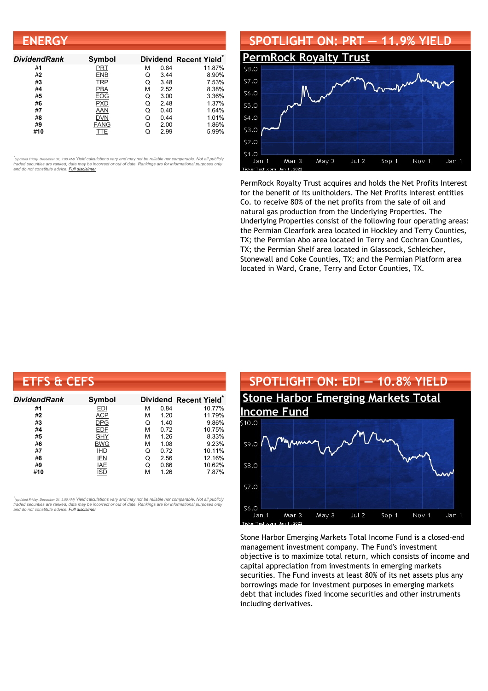| <b>ENERGY</b>       |             |   |      |                                    |
|---------------------|-------------|---|------|------------------------------------|
| <b>DividendRank</b> | Symbol      |   |      | Dividend Recent Yield <sup>®</sup> |
| #1                  | PRT         | М | 0.84 | 11.87%                             |
| #2                  | <b>ENB</b>  | Q | 3.44 | 8.90%                              |
| #3                  | <b>TRP</b>  | Q | 3.48 | 7.53%                              |
| #4                  | <b>PBA</b>  | М | 2.52 | 8.38%                              |
| #5                  | EOG         | Q | 3.00 | 3.36%                              |
| #6                  | <b>PXD</b>  | Q | 2.48 | 1.37%                              |
| #7                  | AAN         | Q | 0.40 | 1.64%                              |
| #8                  | <b>DVN</b>  | Q | 0.44 | 1.01%                              |
| #9                  | <b>FANG</b> | Q | 2.00 | 1.86%                              |
| #10                 | TTE         |   | 2.99 | 5.99%                              |

# **SPOTLIGHT ON: PRT — 11.9% YIELD [PermRock](http://www.dividendchannel.com/symbol/prt/) Royalty Trust** \$7.0 \$6.0  $55.0$ \$4.0



PermRock Royalty Trust acquires and holds the Net Profits Interest for the benefit of its unitholders. The Net Profits Interest entitles Co. to receive 80% of the net profits from the sale of oil and natural gas production from the Underlying Properties. The Underlying Properties consist of the following four operating areas: the Permian Clearfork area located in Hockley and Terry Counties, TX; the Permian Abo area located in Terry and Cochran Counties, TX; the Permian Shelf area located in Glasscock, Schleicher, Stonewall and Coke Counties, TX; and the Permian Platform area located in Ward, Crane, Terry and Ector Counties, TX.

| <b>ETFS &amp; CEFS</b> |               |   |      |                                    |
|------------------------|---------------|---|------|------------------------------------|
| <b>DividendRank</b>    | <b>Symbol</b> |   |      | Dividend Recent Yield <sup>®</sup> |
| #1                     | EDI           | м | 0.84 | 10.77%                             |
| #2                     | ACP           | м | 1.20 | 11.79%                             |
| #3                     | <b>DPG</b>    | Q | 1.40 | 9.86%                              |
| #4                     | <b>EDF</b>    | М | 0.72 | 10.75%                             |
| #5                     | GHY           | М | 1.26 | 8.33%                              |
| #6                     | <b>BWG</b>    | М | 1.08 | 9.23%                              |
| #7                     | <b>IHD</b>    | Q | 0.72 | 10.11%                             |
| #8                     | <b>IFN</b>    | Q | 2.56 | 12.16%                             |
| #9                     | IAE           | Q | 0.86 | 10.62%                             |
| #10                    | ISD           | м | 1.26 | 7.87%                              |

,<br>"<sub>(updated Friday, December 31, 2:00 AM) Yield calculations vary and may not be reliable nor comparable. Not all publicly<br>traded securities are ranked; data may be incorrect or out of date. Rankings are for informational</sub> *and do not constitute advice. Full [disclaimer](https://www.dividendchannel.com/disclaimer/)*



Stone Harbor Emerging Markets Total Income Fund is a closed-end management investment company. The Fund's investment objective is to maximize total return, which consists of income and capital appreciation from investments in emerging markets securities. The Fund invests at least 80% of its net assets plus any borrowings made for investment purposes in emerging markets debt that includes fixed income securities and other instruments including derivatives.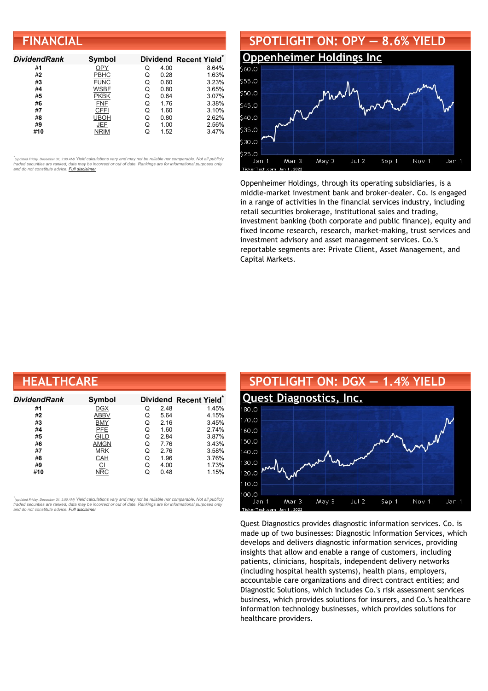| <b>FINANCIAL</b> |
|------------------|
|------------------|

| <b>DividendRank</b> | Symbol      |   |      | Dividend Recent Yield* |
|---------------------|-------------|---|------|------------------------|
| #1                  | <b>OPY</b>  | Q | 4.00 | 8.64%                  |
| #2                  | <b>PBHC</b> | Q | 0.28 | 1.63%                  |
| #3                  | <b>FUNC</b> | Q | 0.60 | 3.23%                  |
| #4                  | <b>WSBF</b> | Q | 0.80 | 3.65%                  |
| #5                  | <b>PKBK</b> | Q | 0.64 | 3.07%                  |
| #6                  | <b>FNF</b>  | Q | 1.76 | 3.38%                  |
| #7                  | <b>CFFI</b> | Q | 1.60 | 3.10%                  |
| #8                  | <b>UBOH</b> | Q | 0.80 | 2.62%                  |
| #9                  | JEF         | Q | 1.00 | 2.56%                  |
| #10                 | NRIM        |   | 1.52 | 3.47%                  |



Oppenheimer Holdings, through its operating subsidiaries, is a middle-market investment bank and broker-dealer. Co. is engaged in a range of activities in the financial services industry, including retail securities brokerage, institutional sales and trading, investment banking (both corporate and public finance), equity and fixed income research, research, market-making, trust services and investment advisory and asset management services. Co.'s reportable segments are: Private Client, Asset Management, and Capital Markets.

| <b>HEALTHCARE</b> |             |   |      |                                    |  |  |
|-------------------|-------------|---|------|------------------------------------|--|--|
| Dividend Rank     | Symbol      |   |      | Dividend Recent Yield <sup>®</sup> |  |  |
| #1                | <b>DGX</b>  | Q | 2.48 | 1.45%                              |  |  |
| #2                | <b>ABBV</b> | Q | 5.64 | 4.15%                              |  |  |
| #3                | <b>BMY</b>  | Q | 2.16 | 3.45%                              |  |  |
| #4                | <b>PFE</b>  | Q | 1.60 | 2.74%                              |  |  |
| #5                | <b>GILD</b> | Q | 2.84 | 3.87%                              |  |  |
| #6                | <b>AMGN</b> | Q | 7.76 | 3.43%                              |  |  |
| #7                | <b>MRK</b>  | Q | 2.76 | 3.58%                              |  |  |
| #8                | CAH         | Q | 1.96 | 3.76%                              |  |  |
| #9                | $_{\Omega}$ | Q | 4.00 | 1.73%                              |  |  |
| #10               | <b>NRC</b>  | Q | 0.48 | 1.15%                              |  |  |

*\** ted Friday, December 31, 2:00 AM) Yield calculations vary and may not be reliable nor comparable. Not all publicly traded securities are ranked; data may be incorrect or out of date. Rankings are for informational purposes only *and do not constitute advice. Full [disclaimer](https://www.dividendchannel.com/disclaimer/)*



Quest Diagnostics provides diagnostic information services. Co. is made up of two businesses: Diagnostic Information Services, which develops and delivers diagnostic information services, providing insights that allow and enable a range of customers, including patients, clinicians, hospitals, independent delivery networks (including hospital health systems), health plans, employers, accountable care organizations and direct contract entities; and Diagnostic Solutions, which includes Co.'s risk assessment services business, which provides solutions for insurers, and Co.'s healthcare information technology businesses, which provides solutions for healthcare providers.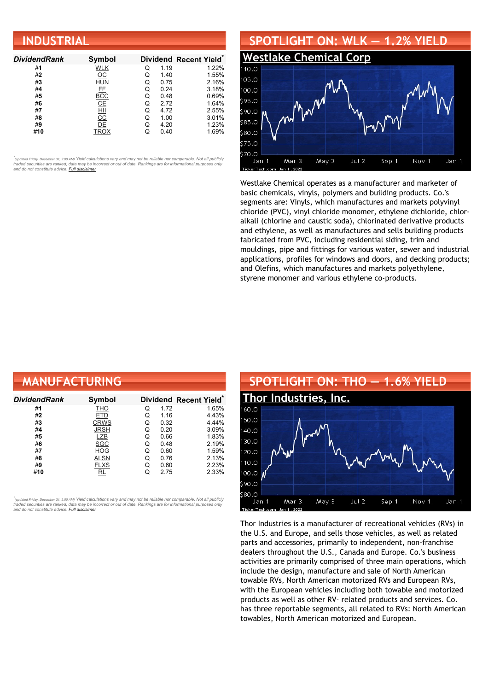| <b>INDUSTRIAL</b>   |                           |   |      |                        |  |  |
|---------------------|---------------------------|---|------|------------------------|--|--|
| <b>DividendRank</b> | Symbol                    |   |      | Dividend Recent Yield* |  |  |
| #1                  | <b>WLK</b>                | Q | 1.19 | 1.22%                  |  |  |
| #2                  | $\underline{\mathsf{OC}}$ | Q | 1.40 | 1.55%                  |  |  |
| #3                  | <b>HUN</b>                | Q | 0.75 | 2.16%                  |  |  |
| #4                  | <b>FE</b>                 | Q | 0.24 | 3.18%                  |  |  |
| #5                  | <b>BCC</b>                | Q | 0.48 | 0.69%                  |  |  |
| #6                  | CE                        | Q | 2.72 | 1.64%                  |  |  |
| #7                  | HII                       | Q | 4.72 | 2.55%                  |  |  |
| #8                  | $\overline{cc}$           | Q | 1.00 | 3.01%                  |  |  |
| #9                  | DE                        | Q | 4.20 | 1.23%                  |  |  |
| #10                 | <b>TROX</b>               | Q | 0.40 | 1.69%                  |  |  |



Westlake Chemical operates as a manufacturer and marketer of basic chemicals, vinyls, polymers and building products. Co.'s segments are: Vinyls, which manufactures and markets polyvinyl chloride (PVC), vinyl chloride monomer, ethylene dichloride, chloralkali (chlorine and caustic soda), chlorinated derivative products and ethylene, as well as manufactures and sells building products fabricated from PVC, including residential siding, trim and mouldings, pipe and fittings for various water, sewer and industrial applications, profiles for windows and doors, and decking products; and Olefins, which manufactures and markets polyethylene, styrene monomer and various ethylene co-products.

| <b>MANUFACTURING</b> |             |   |      |                                    |  |  |  |
|----------------------|-------------|---|------|------------------------------------|--|--|--|
| DividendRank         | Symbol      |   |      | Dividend Recent Yield <sup>®</sup> |  |  |  |
| #1                   | <b>THO</b>  | Q | 1.72 | 1.65%                              |  |  |  |
| #2                   | ETD         | Q | 1.16 | 4.43%                              |  |  |  |
| #3                   | <b>CRWS</b> | Q | 0.32 | 4.44%                              |  |  |  |
| #4                   | <b>JRSH</b> | Q | 0.20 | 3.09%                              |  |  |  |
| #5                   | LZB         | Q | 0.66 | 1.83%                              |  |  |  |
| #6                   | <b>SGC</b>  | Q | 0.48 | 2.19%                              |  |  |  |
| #7                   | <b>HOG</b>  | Q | 0.60 | 1.59%                              |  |  |  |
| #8                   | <b>ALSN</b> | Q | 0.76 | 2.13%                              |  |  |  |
| #9                   | <b>FLXS</b> | Q | 0.60 | 2.23%                              |  |  |  |
| #10                  | RL          | Q | 2.75 | 2.33%                              |  |  |  |

*\** ted Friday, December 31, 2:00 AM) Yield calculations vary and may not be reliable nor comparable. Not all publicly traded securities are ranked; data may be incorrect or out of date. Rankings are for informational purposes only *and do not constitute advice. Full [disclaimer](https://www.dividendchannel.com/disclaimer/)*



Thor Industries is a manufacturer of recreational vehicles (RVs) in the U.S. and Europe, and sells those vehicles, as well as related parts and accessories, primarily to independent, non-franchise dealers throughout the U.S., Canada and Europe. Co.'s business activities are primarily comprised of three main operations, which include the design, manufacture and sale of North American towable RVs, North American motorized RVs and European RVs, with the European vehicles including both towable and motorized products as well as other RV- related products and services. Co. has three reportable segments, all related to RVs: North American towables, North American motorized and European.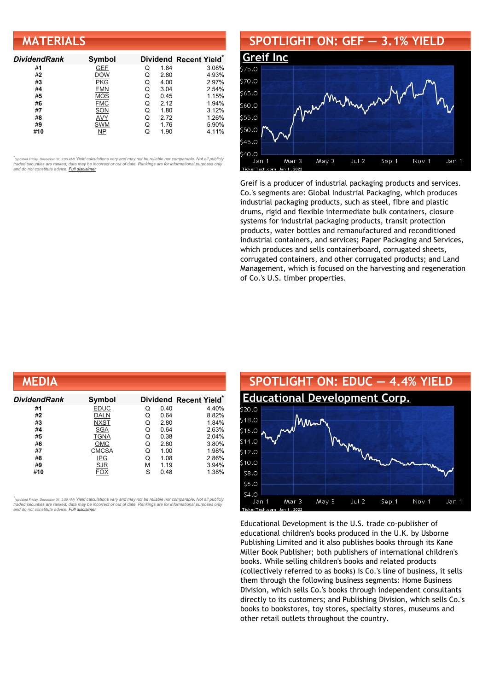| <b>MATERIALS</b>    |            |   |      |                        |  |  |
|---------------------|------------|---|------|------------------------|--|--|
| <b>DividendRank</b> | Symbol     |   |      | Dividend Recent Yield* |  |  |
| #1                  | <b>GEF</b> |   | 1.84 | 3.08%                  |  |  |
| #2                  | <b>DOW</b> | Q | 2.80 | 4.93%                  |  |  |
| #3                  | <b>PKG</b> | Q | 4.00 | 2.97%                  |  |  |
| #4                  | <b>EMN</b> | Q | 3.04 | 2.54%                  |  |  |
| #5                  | MOS        |   | 0.45 | 1.15%                  |  |  |

#**6** [FMC](https://www.dividendchannel.com/symbol/fmc) Q 2.12 1.94% #**7** [SON](https://www.dividendchannel.com/symbol/son) Q 1.80 3.12% #**8** [AVY](https://www.dividendchannel.com/symbol/avy) Q 2.72 1.26% #**9** [SWM](https://www.dividendchannel.com/symbol/swm) Q 1.76 5.90% #**10** [NP](https://www.dividendchannel.com/symbol/np) Q 1.90 4.11%

•<br>"<sub>(updated Friday, December 31, 2:00 AM) Yield calculations vary and may not be reliable nor comparable. Not all publicly<br>traded securities are ranked; data may be incorrect or out of date. Rankings are for informationa</sub> *and do not constitute advice. Full [disclaimer](https://www.dividendchannel.com/disclaimer/)*

#### **SPOTLIGHT ON: GEF — 3.1% YIELD**



Greif is a producer of industrial packaging products and services. Co.'s segments are: Global Industrial Packaging, which produces industrial packaging products, such as steel, fibre and plastic drums, rigid and flexible intermediate bulk containers, closure systems for industrial packaging products, transit protection products, water bottles and remanufactured and reconditioned industrial containers, and services; Paper Packaging and Services, which produces and sells containerboard, corrugated sheets, corrugated containers, and other corrugated products; and Land Management, which is focused on the harvesting and regeneration of Co.'s U.S. timber properties.

| MEDIA        |              |   |      |                                    |
|--------------|--------------|---|------|------------------------------------|
| DividendRank | Symbol       |   |      | Dividend Recent Yield <sup>®</sup> |
| #1           | <b>EDUC</b>  | Q | 0.40 | 4.40%                              |
| #2           | <b>DALN</b>  | Q | 0.64 | 8.82%                              |
| #3           | <b>NXST</b>  | Q | 2.80 | 1.84%                              |
| #4           | <b>SGA</b>   | Q | 0.64 | 2.63%                              |
| #5           | <b>TGNA</b>  | Q | 0.38 | 2.04%                              |
| #6           | OMC          | Q | 2.80 | 3.80%                              |
| #7           | <b>CMCSA</b> | Q | 1.00 | 1.98%                              |
| #8           | <b>IPG</b>   | Q | 1.08 | 2.86%                              |
| #9           | <b>SJR</b>   | М | 1.19 | 3.94%                              |
| #10          | FOX          | S | 0.48 | 1.38%                              |

*\** ted Friday, December 31, 2:00 AM) Yield calculations vary and may not be reliable nor comparable. Not all publicly traded securities are ranked; data may be incorrect or out of date. Rankings are for informational purposes only *and do not constitute advice. Full [disclaimer](https://www.dividendchannel.com/disclaimer/)*



Educational Development is the U.S. trade co-publisher of educational children's books produced in the U.K. by Usborne Publishing Limited and it also publishes books through its Kane Miller Book Publisher; both publishers of international children's books. While selling children's books and related products (collectively referred to as books) is Co.'s line of business, it sells them through the following business segments: Home Business Division, which sells Co.'s books through independent consultants directly to its customers; and Publishing Division, which sells Co.'s books to bookstores, toy stores, specialty stores, museums and other retail outlets throughout the country.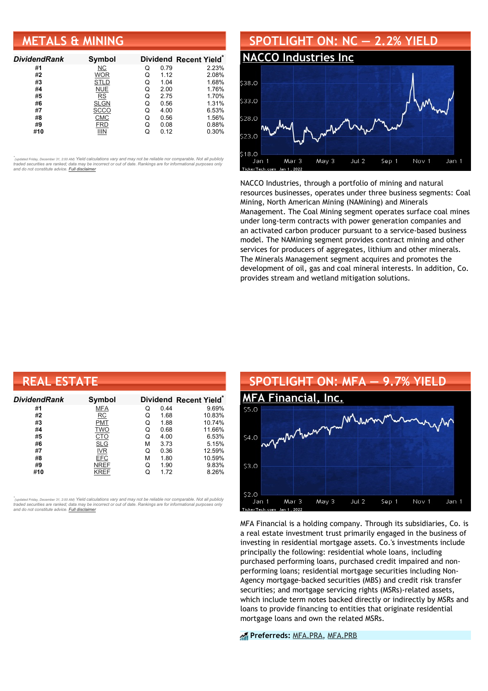#### **METALS & MINING**

| <b>DividendRank</b> | Symbol      |   |      | Dividend Recent Yield* |
|---------------------|-------------|---|------|------------------------|
| #1                  | NС          | Q | 0.79 | 2.23%                  |
| #2                  | <b>WOR</b>  | Q | 1.12 | 2.08%                  |
| #3                  | <b>STLD</b> | Q | 1.04 | 1.68%                  |
| #4                  | <b>NUE</b>  | Q | 2.00 | 1.76%                  |
| #5                  | <b>RS</b>   | Q | 2.75 | 1.70%                  |
| #6                  | <b>SLGN</b> | Q | 0.56 | 1.31%                  |
| #7                  | scco        | Q | 4.00 | 6.53%                  |
| #8                  | <b>CMC</b>  | Q | 0.56 | 1.56%                  |
| #9                  | FRD         | Q | 0.08 | 0.88%                  |
| #10                 | iiin        |   | 0.12 | 0.30%                  |

•<br>"<sub>(updated Friday, December 31, 2:00 AM) Yield calculations vary and may not be reliable nor comparable. Not all publicly<br>traded securities are ranked; data may be incorrect or out of date. Rankings are for informationa</sub> *and do not constitute advice. Full [disclaimer](https://www.dividendchannel.com/disclaimer/)*



NACCO Industries, through a portfolio of mining and natural resources businesses, operates under three business segments: Coal Mining, North American Mining (NAMining) and Minerals Management. The Coal Mining segment operates surface coal mines under long-term contracts with power generation companies and an activated carbon producer pursuant to a service-based business model. The NAMining segment provides contract mining and other services for producers of aggregates, lithium and other minerals. The Minerals Management segment acquires and promotes the development of oil, gas and coal mineral interests. In addition, Co. provides stream and wetland mitigation solutions.

| <b>REAL ESTATE</b> |             |   |      |                        |  |  |
|--------------------|-------------|---|------|------------------------|--|--|
| DividendRank       | Symbol      |   |      | Dividend Recent Yield* |  |  |
| #1                 | <b>MFA</b>  | Q | 0.44 | 9.69%                  |  |  |
| #2                 | RC          | Q | 1.68 | 10.83%                 |  |  |
| #3                 | <b>PMT</b>  | Q | 1.88 | 10.74%                 |  |  |
| #4                 | <b>TWO</b>  | Q | 0.68 | 11.66%                 |  |  |
| #5                 | <b>CTO</b>  | Q | 4.00 | 6.53%                  |  |  |
| #6                 | <b>SLG</b>  | М | 3.73 | 5.15%                  |  |  |
| #7                 | <b>IVR</b>  | Q | 0.36 | 12.59%                 |  |  |
| #8                 | <b>EFC</b>  | М | 1.80 | 10.59%                 |  |  |
| #9                 | <b>NREF</b> | Q | 1.90 | 9.83%                  |  |  |
| #10                | KREF        | Q | 1.72 | 8.26%                  |  |  |

*\** ted Friday, December 31, 2:00 AM) Yield calculations vary and may not be reliable nor comparable. Not all publicly traded securities are ranked; data may be incorrect or out of date. Rankings are for informational purposes only *and do not constitute advice. Full [disclaimer](https://www.dividendchannel.com/disclaimer/)*



MFA Financial is a holding company. Through its subsidiaries, Co. is a real estate investment trust primarily engaged in the business of investing in residential mortgage assets. Co.'s investments include principally the following: residential whole loans, including purchased performing loans, purchased credit impaired and nonperforming loans; residential mortgage securities including Non-Agency mortgage-backed securities (MBS) and credit risk transfer securities; and mortgage servicing rights (MSRs)-related assets, which include term notes backed directly or indirectly by MSRs and loans to provide financing to entities that originate residential mortgage loans and own the related MSRs.

**Preferreds:** [MFA.PRA](https://www.preferredstockchannel.com/symbol/mfa.pra/), [MFA.PRB](https://www.preferredstockchannel.com/symbol/mfa.prb/)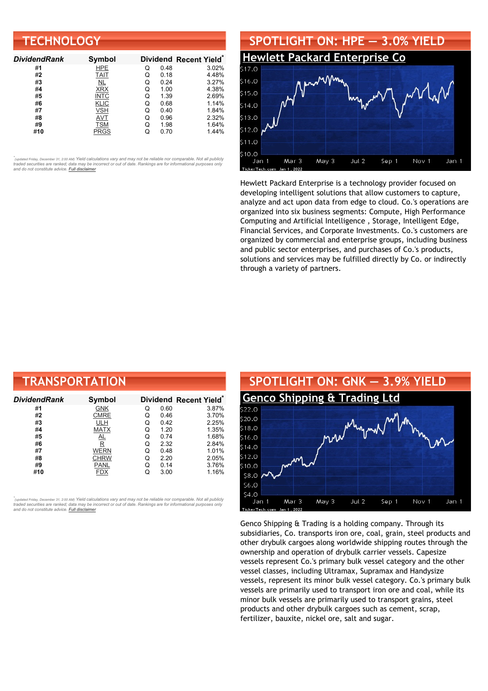| <b>TECHNOLOGY</b>   |               |   |      |                        |  |
|---------------------|---------------|---|------|------------------------|--|
| <b>DividendRank</b> | <b>Symbol</b> |   |      | Dividend Recent Yield* |  |
| #1                  | <b>HPE</b>    | Q | 0.48 | 3.02%                  |  |
| #2                  | <b>TAIT</b>   | Q | 0.18 | 4.48%                  |  |
| #3                  | NL            | Q | 0.24 | 3.27%                  |  |
| #4                  | <b>XRX</b>    | Q | 1.00 | 4.38%                  |  |
| #5                  | <b>INTC</b>   | Q | 1.39 | 2.69%                  |  |
| #6                  | <b>KLIC</b>   | Q | 0.68 | 1.14%                  |  |
| #7                  | VSH           | Q | 0.40 | 1.84%                  |  |
| #8                  | AVT           | Q | 0.96 | 2.32%                  |  |
| #9                  | <b>TSM</b>    | Q | 1.98 | 1.64%                  |  |
| #10                 | <b>PRGS</b>   | Q | 0.70 | 1.44%                  |  |



Hewlett Packard Enterprise is a technology provider focused on developing intelligent solutions that allow customers to capture, analyze and act upon data from edge to cloud. Co.'s operations are organized into six business segments: Compute, High Performance Computing and Artificial Intelligence , Storage, Intelligent Edge, Financial Services, and Corporate Investments. Co.'s customers are organized by commercial and enterprise groups, including business and public sector enterprises, and purchases of Co.'s products, solutions and services may be fulfilled directly by Co. or indirectly through a variety of partners.

| <b>TRANSPORTATION</b> |                         |   |      |                        |  |  |
|-----------------------|-------------------------|---|------|------------------------|--|--|
| DividendRank          | Symbol                  |   |      | Dividend Recent Yield* |  |  |
| #1                    | <b>GNK</b>              | Q | 0.60 | 3.87%                  |  |  |
| #2                    | <b>CMRE</b>             | Q | 0.46 | 3.70%                  |  |  |
| #3                    | ULH                     | Q | 0.42 | 2.25%                  |  |  |
| #4                    | <b>MATX</b>             | Q | 1.20 | 1.35%                  |  |  |
| #5                    | <u>AL</u>               | Q | 0.74 | 1.68%                  |  |  |
| #6                    | $\overline{\mathsf{R}}$ | Q | 2.32 | 2.84%                  |  |  |
| #7                    | <b>WERN</b>             | Q | 0.48 | 1.01%                  |  |  |
| #8                    | <b>CHRW</b>             | Q | 2.20 | 2.05%                  |  |  |
| #9                    | PANL                    | Q | 0.14 | 3.76%                  |  |  |
| #10                   | FDX                     | Q | 3.00 | 1.16%                  |  |  |

*\** ated Friday, December 31, 2:00 АМ) Yi<mark>eld calculations vary and may not be reliable nor comparable. Not all publicly</mark> traded securities are ranked; data may be incorrect or out of date. Rankings are for informational purposes only *and do not constitute advice. Full [disclaimer](https://www.dividendchannel.com/disclaimer/)*



Genco Shipping & Trading is a holding company. Through its subsidiaries, Co. transports iron ore, coal, grain, steel products and other drybulk cargoes along worldwide shipping routes through the ownership and operation of drybulk carrier vessels. Capesize vessels represent Co.'s primary bulk vessel category and the other vessel classes, including Ultramax, Supramax and Handysize vessels, represent its minor bulk vessel category. Co.'s primary bulk vessels are primarily used to transport iron ore and coal, while its minor bulk vessels are primarily used to transport grains, steel products and other drybulk cargoes such as cement, scrap, fertilizer, bauxite, nickel ore, salt and sugar.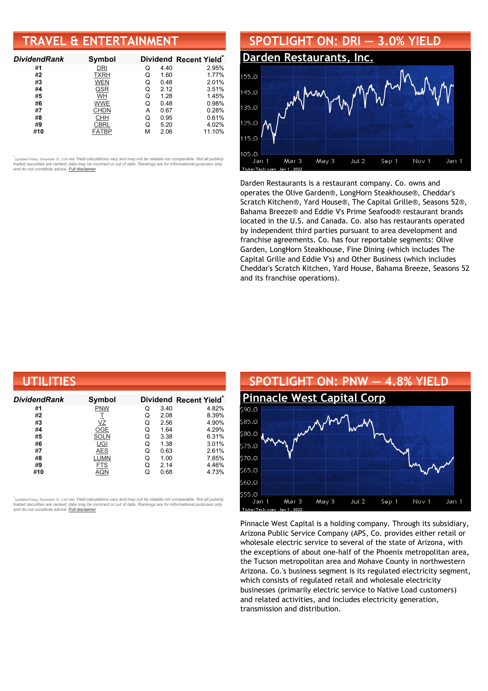# **TRAVEL & ENTERTAINMENT**

| <b>DividendRank</b> | Symbol      |   |      | Dividend Recent Yield* |
|---------------------|-------------|---|------|------------------------|
| #1                  | DRI         | Q | 4.40 | 2.95%                  |
| #2                  | <b>TXRH</b> | Q | 1.60 | 1.77%                  |
| #3                  | <b>WEN</b>  | Q | 0.48 | 2.01%                  |
| #4                  | QSR         | Q | 2.12 | 3.51%                  |
| #5                  | WH          | Q | 1.28 | 1.45%                  |
| #6                  | <b>WWE</b>  | Q | 0.48 | 0.98%                  |
| #7                  | <b>CHDN</b> | A | 0.67 | 0.28%                  |
| #8                  | CHH         | Q | 0.95 | 0.61%                  |
| #9                  | <b>CBRL</b> | Q | 5.20 | 4.02%                  |
| #10                 | FATBP       | м | 2.06 | 11.10%                 |

•<br>"<sub>(updated Friday, December 31, 2:00 AM) Yield calculations vary and may not be reliable nor comparable. Not all publicly<br>traded securities are ranked; data may be incorrect or out of date. Rankings are for informationa</sub> *and do not constitute advice. Full [disclaimer](https://www.dividendchannel.com/disclaimer/)*



Darden Restaurants is a restaurant company. Co. owns and operates the Olive Garden®, LongHorn Steakhouse®, Cheddar's Scratch Kitchen®, Yard House®, The Capital Grille®, Seasons 52®, Bahama Breeze® and Eddie V's Prime Seafood® restaurant brands located in the U.S. and Canada. Co. also has restaurants operated by independent third parties pursuant to area development and franchise agreements. Co. has four reportable segments: Olive Garden, LongHorn Steakhouse, Fine Dining (which includes The Capital Grille and Eddie V's) and Other Business (which includes Cheddar's Scratch Kitchen, Yard House, Bahama Breeze, Seasons 52 and its franchise operations).

| UTILITIES     |             |   |      |                        |  |  |
|---------------|-------------|---|------|------------------------|--|--|
| Dividend Rank | Symbol      |   |      | Dividend Recent Yield* |  |  |
| #1            | <b>PNW</b>  | Q | 3.40 | 4.82%                  |  |  |
| #2            |             | Q | 2.08 | 8.39%                  |  |  |
| #3            | VΖ          | Q | 2.56 | 4.90%                  |  |  |
| #4            | OGE         | Q | 1.64 | 4.29%                  |  |  |
| #5            | <b>SOLN</b> | Q | 3.38 | 6.31%                  |  |  |
| #6            | UGI         | Q | 1.38 | 3.01%                  |  |  |
| #7            | <b>AES</b>  | Q | 0.63 | 2.61%                  |  |  |
| #8            | LUMN        | Q | 1.00 | 7.85%                  |  |  |
| #9            | <b>FTS</b>  | Q | 2.14 | 4.46%                  |  |  |
| #10           | AQN         | Q | 0.68 | 4.73%                  |  |  |

*\** ated Friday, December 31, 2:00 АМ) Yi<mark>eld calculations vary and may not be reliable nor comparable. Not all publicly</mark> traded securities are ranked; data may be incorrect or out of date. Rankings are for informational purposes only *and do not constitute advice. Full [disclaimer](https://www.dividendchannel.com/disclaimer/)*



Pinnacle West Capital is a holding company. Through its subsidiary, Arizona Public Service Company (APS, Co. provides either retail or wholesale electric service to several of the state of Arizona, with the exceptions of about one-half of the Phoenix metropolitan area, the Tucson metropolitan area and Mohave County in northwestern Arizona. Co.'s business segment is its regulated electricity segment, which consists of regulated retail and wholesale electricity businesses (primarily electric service to Native Load customers) and related activities, and includes electricity generation, transmission and distribution.